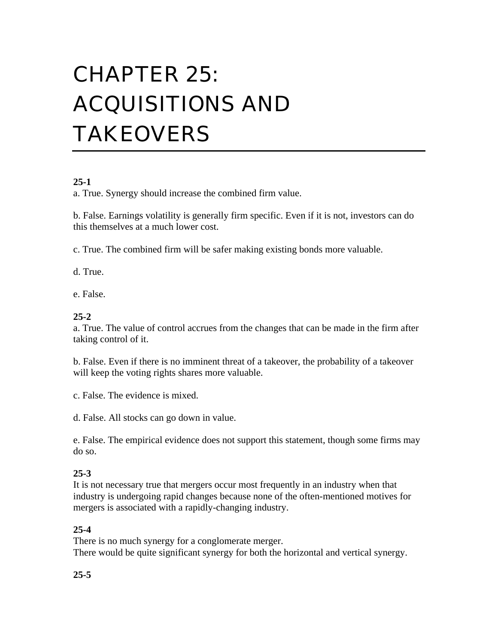# CHAPTER 25: ACQUISITIONS AND TAKEOVERS

#### **25-1**

a. True. Synergy should increase the combined firm value.

b. False. Earnings volatility is generally firm specific. Even if it is not, investors can do this themselves at a much lower cost.

c. True. The combined firm will be safer making existing bonds more valuable.

d. True.

e. False.

#### **25-2**

a. True. The value of control accrues from the changes that can be made in the firm after taking control of it.

b. False. Even if there is no imminent threat of a takeover, the probability of a takeover will keep the voting rights shares more valuable.

c. False. The evidence is mixed.

d. False. All stocks can go down in value.

e. False. The empirical evidence does not support this statement, though some firms may do so.

#### **25-3**

It is not necessary true that mergers occur most frequently in an industry when that industry is undergoing rapid changes because none of the often-mentioned motives for mergers is associated with a rapidly-changing industry.

#### **25-4**

There is no much synergy for a conglomerate merger. There would be quite significant synergy for both the horizontal and vertical synergy.

## **25-5**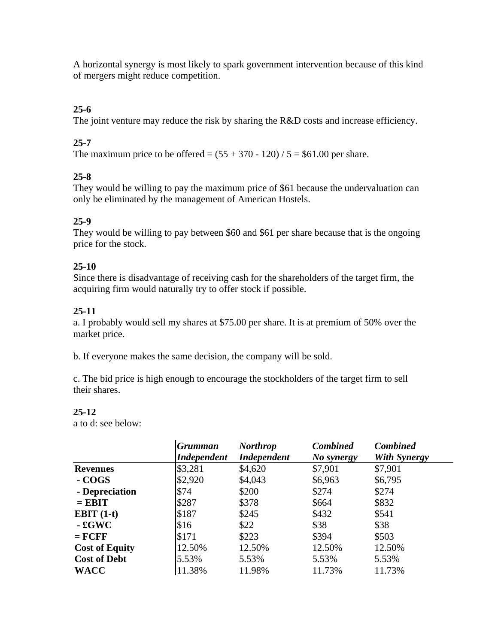A horizontal synergy is most likely to spark government intervention because of this kind of mergers might reduce competition.

# **25-6**

The joint venture may reduce the risk by sharing the R&D costs and increase efficiency.

# **25-7**

The maximum price to be offered =  $(55 + 370 - 120) / 5 = $61.00$  per share.

# **25-8**

They would be willing to pay the maximum price of \$61 because the undervaluation can only be eliminated by the management of American Hostels.

# **25-9**

They would be willing to pay between \$60 and \$61 per share because that is the ongoing price for the stock.

# **25-10**

Since there is disadvantage of receiving cash for the shareholders of the target firm, the acquiring firm would naturally try to offer stock if possible.

## **25-11**

a. I probably would sell my shares at \$75.00 per share. It is at premium of 50% over the market price.

b. If everyone makes the same decision, the company will be sold.

c. The bid price is high enough to encourage the stockholders of the target firm to sell their shares.

## **25-12**

a to d: see below:

|                       | <b>Grumman</b>     | <b>Northrop</b>    | <b>Combined</b> | <b>Combined</b>     |
|-----------------------|--------------------|--------------------|-----------------|---------------------|
|                       | <b>Independent</b> | <b>Independent</b> | No synergy      | <b>With Synergy</b> |
| <b>Revenues</b>       | \$3,281            | \$4,620            | \$7,901         | \$7,901             |
| - COGS                | \$2,920            | \$4,043            | \$6,963         | \$6,795             |
| - Depreciation        | \$74               | \$200              | \$274           | \$274               |
| $=$ EBIT              | \$287              | \$378              | \$664           | \$832               |
| EBIT $(1-t)$          | \$187              | \$245              | \$432           | \$541               |
| $-$ £ $GWC$           | \$16               | \$22               | \$38            | \$38                |
| $=$ FCFF              | \$171              | \$223              | \$394           | \$503               |
| <b>Cost of Equity</b> | 12.50%             | 12.50%             | 12.50%          | 12.50%              |
| <b>Cost of Debt</b>   | 5.53%              | 5.53%              | 5.53%           | 5.53%               |
| <b>WACC</b>           | 11.38%             | 11.98%             | 11.73%          | 11.73%              |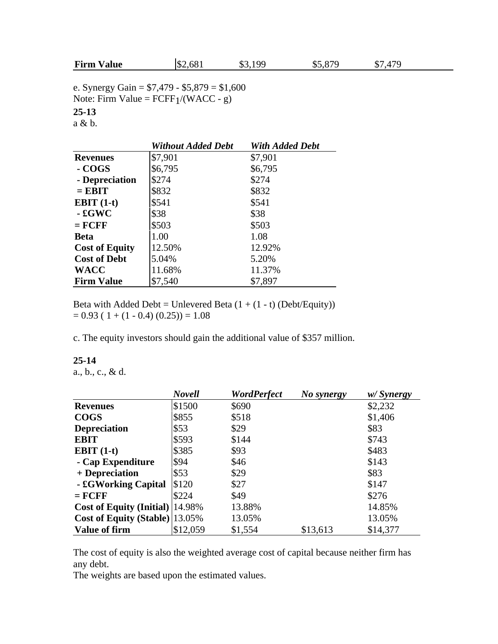| <b>Firm Value</b><br>0.5,879<br>$70^{\circ}$<br>\$2,681<br>\$3,199<br>- ጦ |  |
|---------------------------------------------------------------------------|--|
|---------------------------------------------------------------------------|--|

e. Synergy Gain = \$7,479 - \$5,879 = \$1,600 Note: Firm Value =  $FCFF1/(WACC - g)$ **25-13** a & b.

|                       | <b>Without Added Debt</b> | <b>With Added Debt</b> |
|-----------------------|---------------------------|------------------------|
| <b>Revenues</b>       | \$7,901                   | \$7,901                |
| - COGS                | \$6,795                   | \$6,795                |
| - Depreciation        | \$274                     | \$274                  |
| $=$ EBIT              | \$832                     | \$832                  |
| EBIT $(1-t)$          | \$541                     | \$541                  |
| $-$ £ $GWC$           | \$38                      | \$38                   |
| $=$ FCFF              | \$503                     | \$503                  |
| <b>Beta</b>           | 1.00                      | 1.08                   |
| <b>Cost of Equity</b> | 12.50%                    | 12.92%                 |
| <b>Cost of Debt</b>   | 5.04%                     | 5.20%                  |
| <b>WACC</b>           | 11.68%                    | 11.37%                 |
| <b>Firm Value</b>     | \$7,540                   | \$7,897                |

Beta with Added Debt = Unlevered Beta  $(1 + (1 - t)$  (Debt/Equity))  $= 0.93$  ( 1 + (1 - 0.4) (0.25)) = 1.08

c. The equity investors should gain the additional value of \$357 million.

#### **25-14**

a., b., c., & d.

|                                  | <b>Novell</b> | WordPerfect | No synergy | $w/Syn$ ergy |
|----------------------------------|---------------|-------------|------------|--------------|
| <b>Revenues</b>                  | \$1500        | \$690       |            | \$2,232      |
| <b>COGS</b>                      | \$855         | \$518       |            | \$1,406      |
| <b>Depreciation</b>              | \$53          | \$29        |            | \$83         |
| <b>EBIT</b>                      | \$593         | \$144       |            | \$743        |
| EBIT $(1-t)$                     | \$385         | \$93        |            | \$483        |
| - Cap Expenditure                | \$94          | \$46        |            | \$143        |
| + Depreciation                   | \$53          | \$29        |            | \$83         |
| - £GWorking Capital              | \$120         | \$27        |            | \$147        |
| $=$ $FCFF$                       | \$224         | \$49        |            | \$276        |
| Cost of Equity (Initial)  14.98% |               | 13.88%      |            | 14.85%       |
| Cost of Equity (Stable) 13.05%   |               | 13.05%      |            | 13.05%       |
| <b>Value of firm</b>             | \$12,059      | \$1,554     | \$13,613   | \$14,377     |

The cost of equity is also the weighted average cost of capital because neither firm has any debt.

The weights are based upon the estimated values.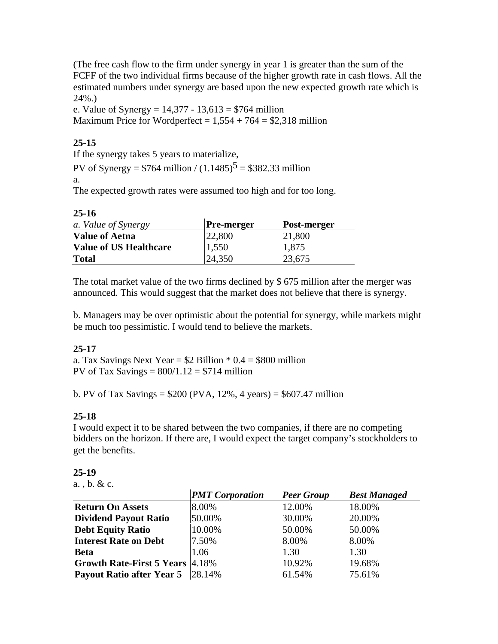(The free cash flow to the firm under synergy in year 1 is greater than the sum of the FCFF of the two individual firms because of the higher growth rate in cash flows. All the estimated numbers under synergy are based upon the new expected growth rate which is 24%.)

e. Value of Synergy =  $14,377 - 13,613 = $764$  million Maximum Price for Wordperfect =  $1,554 + 764 = $2,318$  million

# **25-15**

If the synergy takes 5 years to materialize,

PV of Synergy = \$764 million /  $(1.1485)^5$  = \$382.33 million

a.

The expected growth rates were assumed too high and for too long.

| 25-16 |  |  |
|-------|--|--|
|       |  |  |

| a. Value of Synergy           | <b>Pre-merger</b> | Post-merger |
|-------------------------------|-------------------|-------------|
| <b>Value of Aetna</b>         | 22,800            | 21,800      |
| <b>Value of US Healthcare</b> | 1,550             | 1,875       |
| <b>Total</b>                  | 24,350            | 23,675      |

The total market value of the two firms declined by \$ 675 million after the merger was announced. This would suggest that the market does not believe that there is synergy.

b. Managers may be over optimistic about the potential for synergy, while markets might be much too pessimistic. I would tend to believe the markets.

# **25-17**

a. Tax Savings Next Year =  $$2$  Billion  $*$  0.4 =  $$800$  million PV of Tax Savings =  $800/1.12 = $714$  million

b. PV of Tax Savings =  $$200 (PVA, 12\%, 4 \text{ years}) = $607.47 \text{ million}$ 

## **25-18**

I would expect it to be shared between the two companies, if there are no competing bidders on the horizon. If there are, I would expect the target company's stockholders to get the benefits.

## **25-19**

a. , b. & c.

|                                         | <b>PMT</b> Corporation | <b>Peer Group</b> | <b>Best Managed</b> |
|-----------------------------------------|------------------------|-------------------|---------------------|
| <b>Return On Assets</b>                 | 8.00%                  | 12.00%            | 18.00%              |
| <b>Dividend Payout Ratio</b>            | 50.00%                 | 30.00%            | 20.00%              |
| <b>Debt Equity Ratio</b>                | 10.00%                 | 50.00%            | 50.00%              |
| <b>Interest Rate on Debt</b>            | 7.50%                  | 8.00%             | 8.00%               |
| <b>Beta</b>                             | 1.06                   | 1.30              | 1.30                |
| <b>Growth Rate-First 5 Years 4.18%</b>  |                        | 10.92%            | 19.68%              |
| <b>Payout Ratio after Year 5</b> 28.14% |                        | 61.54%            | 75.61%              |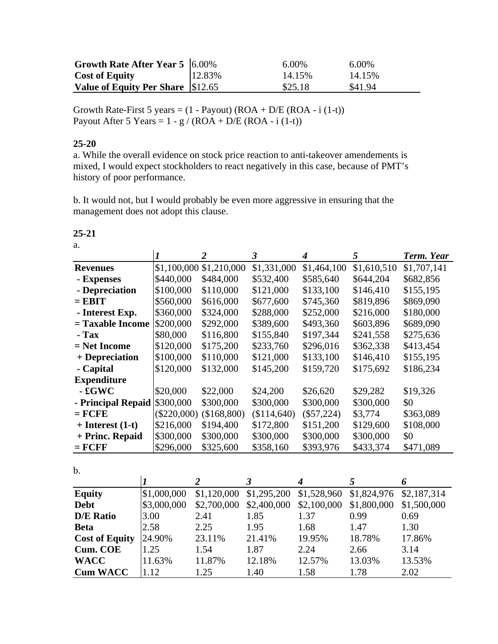| Growth Rate After Year 5 $\,$ 6.00% |            | 6.00%   | 6.00%   |
|-------------------------------------|------------|---------|---------|
| <b>Cost of Equity</b>               | $ 12.83\%$ | 14.15%  | 14.15%  |
| Value of Equity Per Share \\$12.65  |            | \$25.18 | \$41.94 |

Growth Rate-First 5 years =  $(1 - Payout)$  (ROA + D/E (ROA - i  $(1-t)$ ) Payout After 5 Years =  $1 - g / (ROA + D/E (ROA - i (1-t))$ 

#### **25-20**

a. While the overall evidence on stock price reaction to anti-takeover amendements is mixed, I would expect stockholders to react negatively in this case, because of PMT's history of poor performance.

b. It would not, but I would probably be even more aggressive in ensuring that the management does not adopt this clause.

a.

|                               |               | 2           | 3           | 4            | 5           | Term. Year  |
|-------------------------------|---------------|-------------|-------------|--------------|-------------|-------------|
| <b>Revenues</b>               | \$1,100,000   | \$1,210,000 | \$1,331,000 | \$1,464,100  | \$1,610,510 | \$1,707,141 |
| - Expenses                    | \$440,000     | \$484,000   | \$532,400   | \$585,640    | \$644,204   | \$682,856   |
| - Depreciation                | \$100,000     | \$110,000   | \$121,000   | \$133,100    | \$146,410   | \$155,195   |
| $=$ EBIT                      | \$560,000     | \$616,000   | \$677,600   | \$745,360    | \$819,896   | \$869,090   |
| - Interest Exp.               | \$360,000     | \$324,000   | \$288,000   | \$252,000    | \$216,000   | \$180,000   |
| $=$ Taxable Income            | \$200,000     | \$292,000   | \$389,600   | \$493,360    | \$603,896   | \$689,090   |
| $-Tax$                        | \$80,000      | \$116,800   | \$155,840   | \$197,344    | \$241,558   | \$275,636   |
| $=$ Net Income                | \$120,000     | \$175,200   | \$233,760   | \$296,016    | \$362,338   | \$413,454   |
| + Depreciation                | \$100,000     | \$110,000   | \$121,000   | \$133,100    | \$146,410   | \$155,195   |
| - Capital                     | \$120,000     | \$132,000   | \$145,200   | \$159,720    | \$175,692   | \$186,234   |
| <b>Expenditure</b>            |               |             |             |              |             |             |
| $-$ £ $GWC$                   | \$20,000      | \$22,000    | \$24,200    | \$26,620     | \$29,282    | \$19,326    |
| - Principal Repaid \\$300,000 |               | \$300,000   | \$300,000   | \$300,000    | \$300,000   | \$0         |
| $=$ FCFE                      | $(\$220,000)$ | (\$168,800) | (\$114,640) | $(\$57,224)$ | \$3,774     | \$363,089   |
| $+$ Interest $(1-t)$          | \$216,000     | \$194,400   | \$172,800   | \$151,200    | \$129,600   | \$108,000   |
| + Princ. Repaid               | \$300,000     | \$300,000   | \$300,000   | \$300,000    | \$300,000   | \$0         |
| $=$ FCFF                      | \$296,000     | \$325,600   | \$358,160   | \$393,976    | \$433,374   | \$471,089   |

b.

|                       |             |             |             | 4           |             | h           |
|-----------------------|-------------|-------------|-------------|-------------|-------------|-------------|
| <b>Equity</b>         | \$1,000,000 | \$1,120,000 | \$1,295,200 | \$1,528,960 | \$1,824,976 | \$2,187,314 |
| <b>Debt</b>           | \$3,000,000 | \$2,700,000 | \$2,400,000 | \$2,100,000 | \$1,800,000 | \$1,500,000 |
| <b>D/E Ratio</b>      | 3.00        | 2.41        | 1.85        | 1.37        | 0.99        | 0.69        |
| <b>Beta</b>           | 2.58        | 2.25        | 1.95        | 1.68        | 1.47        | 1.30        |
| <b>Cost of Equity</b> | 24.90%      | 23.11%      | 21.41%      | 19.95%      | 18.78%      | 17.86%      |
| Cum. COE              | 1.25        | 1.54        | 1.87        | 2.24        | 2.66        | 3.14        |
| <b>WACC</b>           | 11.63%      | 11.87%      | 12.18%      | 12.57%      | 13.03%      | 13.53%      |
| <b>Cum WACC</b>       | .12         | 1.25        | 1.40        | 1.58        | 1.78        | 2.02        |